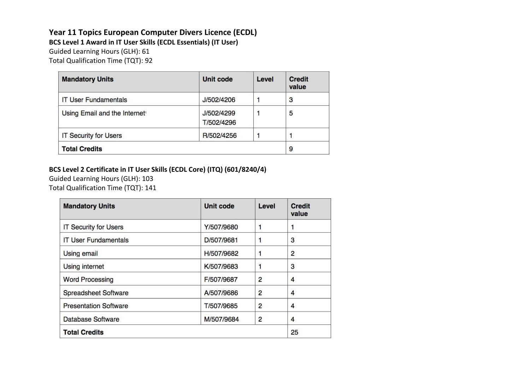## **Year 11 Topics European Computer Divers Licence (ECDL)**

**BCS Level 1 Award in IT User Skills (ECDL Essentials) (IT User)**

Guided Learning Hours (GLH): 61

Total Qualification Time (TQT): 92

| <b>Mandatory Units</b>                    | Unit code                | Level | Credit<br>value |
|-------------------------------------------|--------------------------|-------|-----------------|
| <b>IT User Fundamentals</b>               | J/502/4206               |       | 3               |
| Using Email and the Internet <sup>®</sup> | J/502/4299<br>T/502/4296 |       | 5               |
| <b>IT Security for Users</b>              | R/502/4256               |       |                 |
| <b>Total Credits</b>                      |                          |       | 9               |

#### **BCS Level 2 Certificate in IT User Skills (ECDL Core) (ITQ) (601/8240/4)**

Guided Learning Hours (GLH): 103 Total Qualification Time (TQT): 141

| <b>Mandatory Units</b>       | Unit code  | Level | Credit<br>value |
|------------------------------|------------|-------|-----------------|
| <b>IT Security for Users</b> | Y/507/9680 |       | 1               |
| <b>IT User Fundamentals</b>  | D/507/9681 |       | 3               |
| <b>Using email</b>           | H/507/9682 |       | $\overline{2}$  |
| <b>Using internet</b>        | K/507/9683 |       | 3               |
| <b>Word Processing</b>       | F/507/9687 | 2     | 4               |
| Spreadsheet Software         | A/507/9686 | 2     | 4               |
| <b>Presentation Software</b> | T/507/9685 | 2     | 4               |
| Database Software            | M/507/9684 | 2     | 4               |
| <b>Total Credits</b>         |            |       | 25              |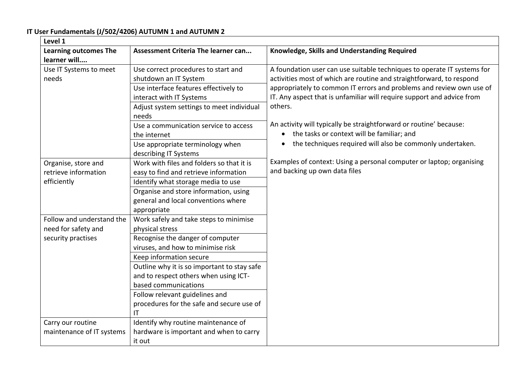**IT User Fundamentals (J/502/4206) AUTUMN 1 and AUTUMN 2**

| Level 1                      |                                             |                                                                         |
|------------------------------|---------------------------------------------|-------------------------------------------------------------------------|
| <b>Learning outcomes The</b> | Assessment Criteria The learner can         | Knowledge, Skills and Understanding Required                            |
| learner will                 |                                             |                                                                         |
| Use IT Systems to meet       | Use correct procedures to start and         | A foundation user can use suitable techniques to operate IT systems for |
| needs                        | shutdown an IT System                       | activities most of which are routine and straightforward, to respond    |
|                              | Use interface features effectively to       | appropriately to common IT errors and problems and review own use of    |
|                              | interact with IT Systems                    | IT. Any aspect that is unfamiliar will require support and advice from  |
|                              | Adjust system settings to meet individual   | others.                                                                 |
|                              | needs                                       |                                                                         |
|                              | Use a communication service to access       | An activity will typically be straightforward or routine' because:      |
|                              | the internet                                | the tasks or context will be familiar; and                              |
|                              | Use appropriate terminology when            | the techniques required will also be commonly undertaken.<br>$\bullet$  |
|                              | describing IT Systems                       |                                                                         |
| Organise, store and          | Work with files and folders so that it is   | Examples of context: Using a personal computer or laptop; organising    |
| retrieve information         | easy to find and retrieve information       | and backing up own data files                                           |
| efficiently                  | Identify what storage media to use          |                                                                         |
|                              | Organise and store information, using       |                                                                         |
|                              | general and local conventions where         |                                                                         |
|                              | appropriate                                 |                                                                         |
| Follow and understand the    | Work safely and take steps to minimise      |                                                                         |
| need for safety and          | physical stress                             |                                                                         |
| security practises           | Recognise the danger of computer            |                                                                         |
|                              | viruses, and how to minimise risk           |                                                                         |
|                              | Keep information secure                     |                                                                         |
|                              | Outline why it is so important to stay safe |                                                                         |
|                              | and to respect others when using ICT-       |                                                                         |
|                              | based communications                        |                                                                         |
|                              | Follow relevant guidelines and              |                                                                         |
|                              | procedures for the safe and secure use of   |                                                                         |
|                              | IT                                          |                                                                         |
| Carry our routine            | Identify why routine maintenance of         |                                                                         |
| maintenance of IT systems    | hardware is important and when to carry     |                                                                         |
|                              | it out                                      |                                                                         |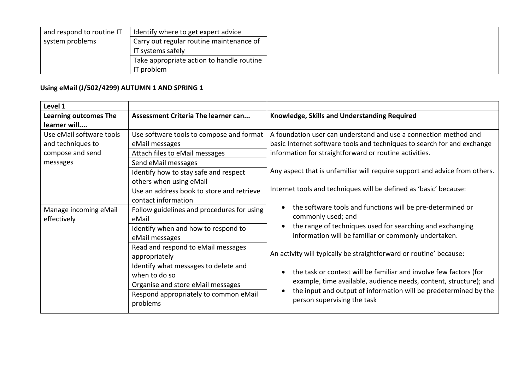| and respond to routine IT | I Identify where to get expert advice     |
|---------------------------|-------------------------------------------|
| system problems           | Carry out regular routine maintenance of  |
|                           | IT systems safely                         |
|                           | Take appropriate action to handle routine |
|                           | IT problem                                |

## **Using eMail (J/502/4299) AUTUMN 1 AND SPRING 1**

| Level 1                      |                                            |                                                                                 |
|------------------------------|--------------------------------------------|---------------------------------------------------------------------------------|
| <b>Learning outcomes The</b> | <b>Assessment Criteria The learner can</b> | Knowledge, Skills and Understanding Required                                    |
| learner will                 |                                            |                                                                                 |
| Use eMail software tools     | Use software tools to compose and format   | A foundation user can understand and use a connection method and                |
| and techniques to            | eMail messages                             | basic Internet software tools and techniques to search for and exchange         |
| compose and send             | Attach files to eMail messages             | information for straightforward or routine activities.                          |
| messages                     | Send eMail messages                        |                                                                                 |
|                              | Identify how to stay safe and respect      | Any aspect that is unfamiliar will require support and advice from others.      |
|                              | others when using eMail                    |                                                                                 |
|                              | Use an address book to store and retrieve  | Internet tools and techniques will be defined as 'basic' because:               |
|                              | contact information                        |                                                                                 |
| Manage incoming eMail        | Follow guidelines and procedures for using | the software tools and functions will be pre-determined or                      |
| effectively                  | eMail                                      | commonly used; and<br>the range of techniques used for searching and exchanging |
|                              | Identify when and how to respond to        |                                                                                 |
|                              | eMail messages                             | information will be familiar or commonly undertaken.                            |
|                              | Read and respond to eMail messages         |                                                                                 |
|                              | appropriately                              | An activity will typically be straightforward or routine' because:              |
|                              | Identify what messages to delete and       |                                                                                 |
|                              | when to do so                              | the task or context will be familiar and involve few factors (for<br>$\bullet$  |
|                              | Organise and store eMail messages          | example, time available, audience needs, content, structure); and               |
|                              | Respond appropriately to common eMail      | the input and output of information will be predetermined by the                |
|                              | problems                                   | person supervising the task                                                     |
|                              |                                            |                                                                                 |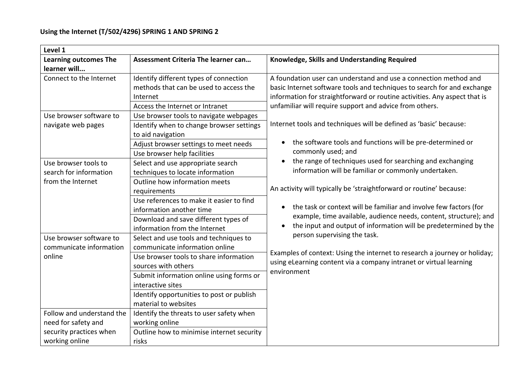| Level 1                      |                                           |                                                                                   |  |
|------------------------------|-------------------------------------------|-----------------------------------------------------------------------------------|--|
| <b>Learning outcomes The</b> | Assessment Criteria The learner can       | Knowledge, Skills and Understanding Required                                      |  |
| learner will                 |                                           |                                                                                   |  |
| Connect to the Internet      | Identify different types of connection    | A foundation user can understand and use a connection method and                  |  |
|                              | methods that can be used to access the    | basic Internet software tools and techniques to search for and exchange           |  |
|                              | Internet                                  | information for straightforward or routine activities. Any aspect that is         |  |
|                              | Access the Internet or Intranet           | unfamiliar will require support and advice from others.                           |  |
| Use browser software to      | Use browser tools to navigate webpages    |                                                                                   |  |
| navigate web pages           | Identify when to change browser settings  | Internet tools and techniques will be defined as 'basic' because:                 |  |
|                              | to aid navigation                         |                                                                                   |  |
|                              | Adjust browser settings to meet needs     | the software tools and functions will be pre-determined or<br>$\bullet$           |  |
|                              | Use browser help facilities               | commonly used; and                                                                |  |
| Use browser tools to         | Select and use appropriate search         | the range of techniques used for searching and exchanging<br>$\bullet$            |  |
| search for information       | techniques to locate information          | information will be familiar or commonly undertaken.                              |  |
| from the Internet            | Outline how information meets             |                                                                                   |  |
|                              | requirements                              | An activity will typically be 'straightforward or routine' because:               |  |
|                              | Use references to make it easier to find  |                                                                                   |  |
|                              | information another time                  | the task or context will be familiar and involve few factors (for<br>$\bullet$    |  |
|                              | Download and save different types of      | example, time available, audience needs, content, structure); and                 |  |
|                              | information from the Internet             | the input and output of information will be predetermined by the                  |  |
| Use browser software to      | Select and use tools and techniques to    | person supervising the task.                                                      |  |
| communicate information      | communicate information online            |                                                                                   |  |
| online                       | Use browser tools to share information    | Examples of context: Using the internet to research a journey or holiday;         |  |
|                              | sources with others                       | using eLearning content via a company intranet or virtual learning<br>environment |  |
|                              | Submit information online using forms or  |                                                                                   |  |
|                              | interactive sites                         |                                                                                   |  |
|                              | Identify opportunities to post or publish |                                                                                   |  |
|                              | material to websites                      |                                                                                   |  |
| Follow and understand the    | Identify the threats to user safety when  |                                                                                   |  |
| need for safety and          | working online                            |                                                                                   |  |
| security practices when      | Outline how to minimise internet security |                                                                                   |  |
| working online               | risks                                     |                                                                                   |  |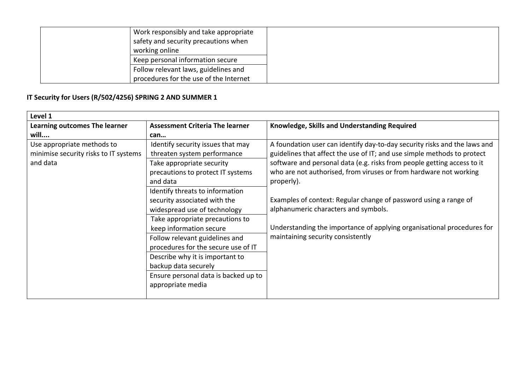| Work responsibly and take appropriate  |
|----------------------------------------|
| safety and security precautions when   |
| working online                         |
| Keep personal information secure       |
| Follow relevant laws, guidelines and   |
| procedures for the use of the Internet |

## **IT Security for Users (R/502/4256) SPRING 2 AND SUMMER 1**

| Level 1                                                                         |                                                                                                                                                                                                                                                                                                                                                                                                                                                                                                                  |                                                                                                                                                                                                                                                                                                                                                                                                                                                                                                                                               |
|---------------------------------------------------------------------------------|------------------------------------------------------------------------------------------------------------------------------------------------------------------------------------------------------------------------------------------------------------------------------------------------------------------------------------------------------------------------------------------------------------------------------------------------------------------------------------------------------------------|-----------------------------------------------------------------------------------------------------------------------------------------------------------------------------------------------------------------------------------------------------------------------------------------------------------------------------------------------------------------------------------------------------------------------------------------------------------------------------------------------------------------------------------------------|
| <b>Learning outcomes The learner</b>                                            | <b>Assessment Criteria The learner</b>                                                                                                                                                                                                                                                                                                                                                                                                                                                                           | Knowledge, Skills and Understanding Required                                                                                                                                                                                                                                                                                                                                                                                                                                                                                                  |
| will                                                                            | can                                                                                                                                                                                                                                                                                                                                                                                                                                                                                                              |                                                                                                                                                                                                                                                                                                                                                                                                                                                                                                                                               |
| Use appropriate methods to<br>minimise security risks to IT systems<br>and data | Identify security issues that may<br>threaten system performance<br>Take appropriate security<br>precautions to protect IT systems<br>and data<br>Identify threats to information<br>security associated with the<br>widespread use of technology<br>Take appropriate precautions to<br>keep information secure<br>Follow relevant guidelines and<br>procedures for the secure use of IT<br>Describe why it is important to<br>backup data securely<br>Ensure personal data is backed up to<br>appropriate media | A foundation user can identify day-to-day security risks and the laws and<br>guidelines that affect the use of IT; and use simple methods to protect<br>software and personal data (e.g. risks from people getting access to it<br>who are not authorised, from viruses or from hardware not working<br>properly).<br>Examples of context: Regular change of password using a range of<br>alphanumeric characters and symbols.<br>Understanding the importance of applying organisational procedures for<br>maintaining security consistently |
|                                                                                 |                                                                                                                                                                                                                                                                                                                                                                                                                                                                                                                  |                                                                                                                                                                                                                                                                                                                                                                                                                                                                                                                                               |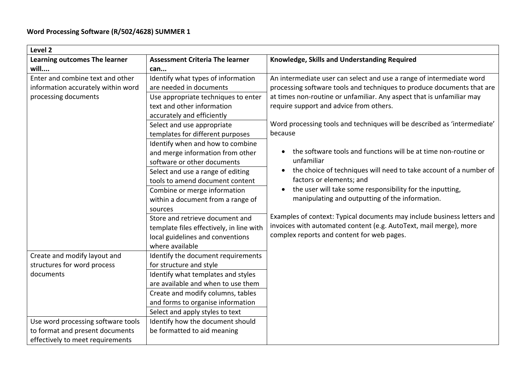| Level 2                                                                |                                                                                                                                               |                                                                                                                                                                                            |  |
|------------------------------------------------------------------------|-----------------------------------------------------------------------------------------------------------------------------------------------|--------------------------------------------------------------------------------------------------------------------------------------------------------------------------------------------|--|
| Learning outcomes The learner                                          | <b>Assessment Criteria The learner</b>                                                                                                        | Knowledge, Skills and Understanding Required                                                                                                                                               |  |
| will                                                                   | can                                                                                                                                           |                                                                                                                                                                                            |  |
| Enter and combine text and other<br>information accurately within word | Identify what types of information<br>are needed in documents                                                                                 | An intermediate user can select and use a range of intermediate word<br>processing software tools and techniques to produce documents that are                                             |  |
| processing documents                                                   | Use appropriate techniques to enter<br>text and other information<br>accurately and efficiently                                               | at times non-routine or unfamiliar. Any aspect that is unfamiliar may<br>require support and advice from others.                                                                           |  |
|                                                                        | Select and use appropriate<br>templates for different purposes                                                                                | Word processing tools and techniques will be described as 'intermediate'<br>because                                                                                                        |  |
|                                                                        | Identify when and how to combine<br>and merge information from other<br>software or other documents                                           | the software tools and functions will be at time non-routine or<br>unfamiliar                                                                                                              |  |
|                                                                        | Select and use a range of editing<br>tools to amend document content                                                                          | the choice of techniques will need to take account of a number of<br>$\bullet$<br>factors or elements; and                                                                                 |  |
|                                                                        | Combine or merge information<br>within a document from a range of                                                                             | the user will take some responsibility for the inputting,<br>manipulating and outputting of the information.                                                                               |  |
|                                                                        | sources<br>Store and retrieve document and<br>template files effectively, in line with<br>local guidelines and conventions<br>where available | Examples of context: Typical documents may include business letters and<br>invoices with automated content (e.g. AutoText, mail merge), more<br>complex reports and content for web pages. |  |
| Create and modify layout and                                           | Identify the document requirements                                                                                                            |                                                                                                                                                                                            |  |
| structures for word process                                            | for structure and style                                                                                                                       |                                                                                                                                                                                            |  |
| documents                                                              | Identify what templates and styles                                                                                                            |                                                                                                                                                                                            |  |
|                                                                        | are available and when to use them                                                                                                            |                                                                                                                                                                                            |  |
|                                                                        | Create and modify columns, tables                                                                                                             |                                                                                                                                                                                            |  |
|                                                                        | and forms to organise information                                                                                                             |                                                                                                                                                                                            |  |
|                                                                        | Select and apply styles to text                                                                                                               |                                                                                                                                                                                            |  |
| Use word processing software tools                                     | Identify how the document should                                                                                                              |                                                                                                                                                                                            |  |
| to format and present documents                                        | be formatted to aid meaning                                                                                                                   |                                                                                                                                                                                            |  |
| effectively to meet requirements                                       |                                                                                                                                               |                                                                                                                                                                                            |  |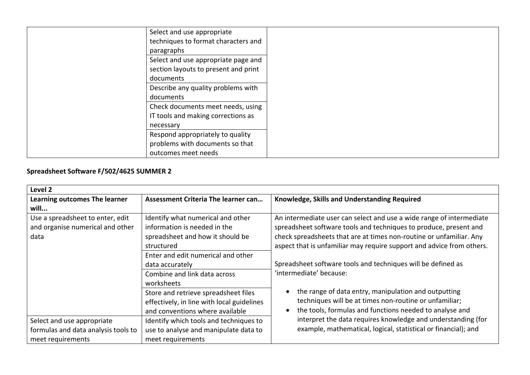| Select and use appropriate           |  |
|--------------------------------------|--|
| techniques to format characters and  |  |
| paragraphs                           |  |
| Select and use appropriate page and  |  |
| section layouts to present and print |  |
| documents                            |  |
| Describe any quality problems with   |  |
| documents                            |  |
| Check documents meet needs, using    |  |
| IT tools and making corrections as   |  |
| necessary                            |  |
| Respond appropriately to quality     |  |
| problems with documents so that      |  |
| outcomes meet needs                  |  |

#### **Spreadsheet Software F/502/4625 SUMMER 2**

| Level 2                                                                                |                                                                                                                       |                                                                                                                                                                                                                                                                                           |
|----------------------------------------------------------------------------------------|-----------------------------------------------------------------------------------------------------------------------|-------------------------------------------------------------------------------------------------------------------------------------------------------------------------------------------------------------------------------------------------------------------------------------------|
| Learning outcomes The learner                                                          | <b>Assessment Criteria The learner can</b>                                                                            | Knowledge, Skills and Understanding Required                                                                                                                                                                                                                                              |
| will                                                                                   |                                                                                                                       |                                                                                                                                                                                                                                                                                           |
| Use a spreadsheet to enter, edit<br>and organise numerical and other<br>data           | Identify what numerical and other<br>information is needed in the<br>spreadsheet and how it should be<br>structured   | An intermediate user can select and use a wide range of intermediate<br>spreadsheet software tools and techniques to produce, present and<br>check spreadsheets that are at times non-routine or unfamiliar. Any<br>aspect that is unfamiliar may require support and advice from others. |
|                                                                                        | Enter and edit numerical and other<br>data accurately<br>Combine and link data across<br>worksheets                   | Spreadsheet software tools and techniques will be defined as<br>'intermediate' because:                                                                                                                                                                                                   |
|                                                                                        | Store and retrieve spreadsheet files<br>effectively, in line with local guidelines<br>and conventions where available | the range of data entry, manipulation and outputting<br>$\bullet$<br>techniques will be at times non-routine or unfamiliar;<br>the tools, formulas and functions needed to analyse and                                                                                                    |
| Select and use appropriate<br>formulas and data analysis tools to<br>meet requirements | Identify which tools and techniques to<br>use to analyse and manipulate data to<br>meet requirements                  | interpret the data requires knowledge and understanding (for<br>example, mathematical, logical, statistical or financial); and                                                                                                                                                            |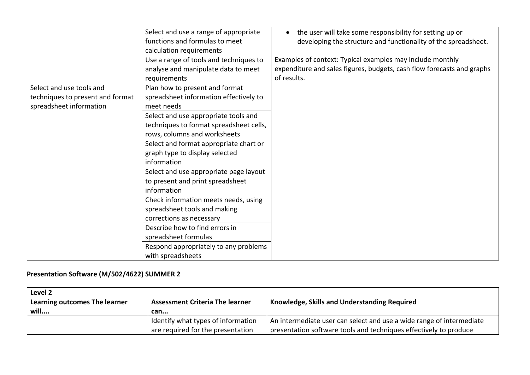|                                  | Select and use a range of appropriate<br>functions and formulas to meet<br>calculation requirements<br>Use a range of tools and techniques to | the user will take some responsibility for setting up or<br>$\bullet$<br>developing the structure and functionality of the spreadsheet.<br>Examples of context: Typical examples may include monthly |
|----------------------------------|-----------------------------------------------------------------------------------------------------------------------------------------------|------------------------------------------------------------------------------------------------------------------------------------------------------------------------------------------------------|
|                                  | analyse and manipulate data to meet                                                                                                           | expenditure and sales figures, budgets, cash flow forecasts and graphs                                                                                                                               |
|                                  | requirements                                                                                                                                  | of results.                                                                                                                                                                                          |
| Select and use tools and         | Plan how to present and format                                                                                                                |                                                                                                                                                                                                      |
| techniques to present and format | spreadsheet information effectively to                                                                                                        |                                                                                                                                                                                                      |
| spreadsheet information          | meet needs                                                                                                                                    |                                                                                                                                                                                                      |
|                                  | Select and use appropriate tools and                                                                                                          |                                                                                                                                                                                                      |
|                                  | techniques to format spreadsheet cells,                                                                                                       |                                                                                                                                                                                                      |
|                                  | rows, columns and worksheets                                                                                                                  |                                                                                                                                                                                                      |
|                                  | Select and format appropriate chart or                                                                                                        |                                                                                                                                                                                                      |
|                                  | graph type to display selected                                                                                                                |                                                                                                                                                                                                      |
|                                  | information                                                                                                                                   |                                                                                                                                                                                                      |
|                                  | Select and use appropriate page layout                                                                                                        |                                                                                                                                                                                                      |
|                                  | to present and print spreadsheet                                                                                                              |                                                                                                                                                                                                      |
|                                  | information                                                                                                                                   |                                                                                                                                                                                                      |
|                                  | Check information meets needs, using                                                                                                          |                                                                                                                                                                                                      |
|                                  | spreadsheet tools and making                                                                                                                  |                                                                                                                                                                                                      |
|                                  | corrections as necessary                                                                                                                      |                                                                                                                                                                                                      |
|                                  | Describe how to find errors in                                                                                                                |                                                                                                                                                                                                      |
|                                  | spreadsheet formulas                                                                                                                          |                                                                                                                                                                                                      |
|                                  | Respond appropriately to any problems<br>with spreadsheets                                                                                    |                                                                                                                                                                                                      |

#### **Presentation Software (M/502/4622) SUMMER 2**

| Level 2                       |                                        |                                                                      |
|-------------------------------|----------------------------------------|----------------------------------------------------------------------|
| Learning outcomes The learner | <b>Assessment Criteria The learner</b> | Knowledge, Skills and Understanding Required                         |
| will                          | can                                    |                                                                      |
|                               | I Identify what types of information   | An intermediate user can select and use a wide range of intermediate |
|                               | are required for the presentation      | presentation software tools and techniques effectively to produce    |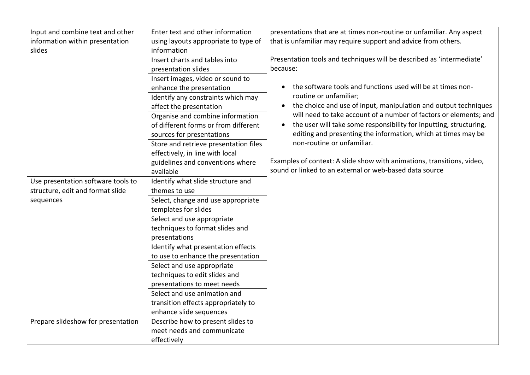| Input and combine text and other   | Enter text and other information      | presentations that are at times non-routine or unfamiliar. Any aspect           |
|------------------------------------|---------------------------------------|---------------------------------------------------------------------------------|
| information within presentation    | using layouts appropriate to type of  | that is unfamiliar may require support and advice from others.                  |
| slides                             | information                           |                                                                                 |
|                                    | Insert charts and tables into         | Presentation tools and techniques will be described as 'intermediate'           |
|                                    | presentation slides                   | because:                                                                        |
|                                    | Insert images, video or sound to      |                                                                                 |
|                                    | enhance the presentation              | the software tools and functions used will be at times non-<br>$\bullet$        |
|                                    | Identify any constraints which may    | routine or unfamiliar;                                                          |
|                                    | affect the presentation               | the choice and use of input, manipulation and output techniques                 |
|                                    | Organise and combine information      | will need to take account of a number of factors or elements; and               |
|                                    | of different forms or from different  | the user will take some responsibility for inputting, structuring,<br>$\bullet$ |
|                                    | sources for presentations             | editing and presenting the information, which at times may be                   |
|                                    | Store and retrieve presentation files | non-routine or unfamiliar.                                                      |
|                                    | effectively, in line with local       |                                                                                 |
|                                    | guidelines and conventions where      | Examples of context: A slide show with animations, transitions, video,          |
|                                    | available                             | sound or linked to an external or web-based data source                         |
| Use presentation software tools to | Identify what slide structure and     |                                                                                 |
| structure, edit and format slide   | themes to use                         |                                                                                 |
| sequences                          | Select, change and use appropriate    |                                                                                 |
|                                    | templates for slides                  |                                                                                 |
|                                    | Select and use appropriate            |                                                                                 |
|                                    | techniques to format slides and       |                                                                                 |
|                                    | presentations                         |                                                                                 |
|                                    | Identify what presentation effects    |                                                                                 |
|                                    | to use to enhance the presentation    |                                                                                 |
|                                    | Select and use appropriate            |                                                                                 |
|                                    | techniques to edit slides and         |                                                                                 |
|                                    | presentations to meet needs           |                                                                                 |
|                                    | Select and use animation and          |                                                                                 |
|                                    | transition effects appropriately to   |                                                                                 |
|                                    | enhance slide sequences               |                                                                                 |
| Prepare slideshow for presentation | Describe how to present slides to     |                                                                                 |
|                                    | meet needs and communicate            |                                                                                 |
|                                    | effectively                           |                                                                                 |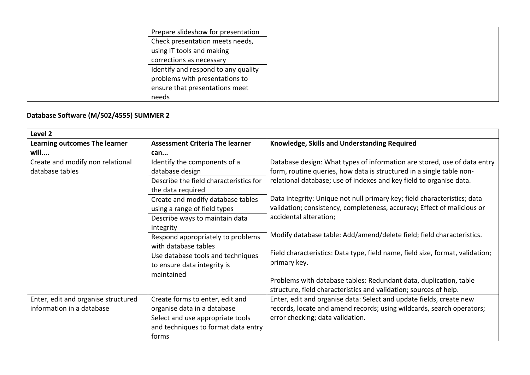| Prepare slideshow for presentation  |
|-------------------------------------|
| Check presentation meets needs,     |
| using IT tools and making           |
| corrections as necessary            |
| Identify and respond to any quality |
| problems with presentations to      |
| ensure that presentations meet      |
| needs                               |

# **Database Software (M/502/4555) SUMMER 2**

| Level 2                             |                                        |                                                                               |  |
|-------------------------------------|----------------------------------------|-------------------------------------------------------------------------------|--|
| Learning outcomes The learner       | <b>Assessment Criteria The learner</b> | Knowledge, Skills and Understanding Required                                  |  |
| will                                | can                                    |                                                                               |  |
| Create and modify non relational    | Identify the components of a           | Database design: What types of information are stored, use of data entry      |  |
| database tables                     | database design                        | form, routine queries, how data is structured in a single table non-          |  |
|                                     | Describe the field characteristics for | relational database; use of indexes and key field to organise data.           |  |
|                                     | the data required                      |                                                                               |  |
|                                     | Create and modify database tables      | Data integrity: Unique not null primary key; field characteristics; data      |  |
|                                     | using a range of field types           | validation; consistency, completeness, accuracy; Effect of malicious or       |  |
|                                     | Describe ways to maintain data         | accidental alteration;                                                        |  |
|                                     | integrity                              |                                                                               |  |
|                                     | Respond appropriately to problems      | Modify database table: Add/amend/delete field; field characteristics.         |  |
|                                     | with database tables                   |                                                                               |  |
|                                     | Use database tools and techniques      | Field characteristics: Data type, field name, field size, format, validation; |  |
|                                     | to ensure data integrity is            | primary key.                                                                  |  |
|                                     | maintained                             |                                                                               |  |
|                                     |                                        | Problems with database tables: Redundant data, duplication, table             |  |
|                                     |                                        | structure, field characteristics and validation; sources of help.             |  |
| Enter, edit and organise structured | Create forms to enter, edit and        | Enter, edit and organise data: Select and update fields, create new           |  |
| information in a database           | organise data in a database            | records, locate and amend records; using wildcards, search operators;         |  |
|                                     | Select and use appropriate tools       | error checking; data validation.                                              |  |
|                                     | and techniques to format data entry    |                                                                               |  |
|                                     | forms                                  |                                                                               |  |